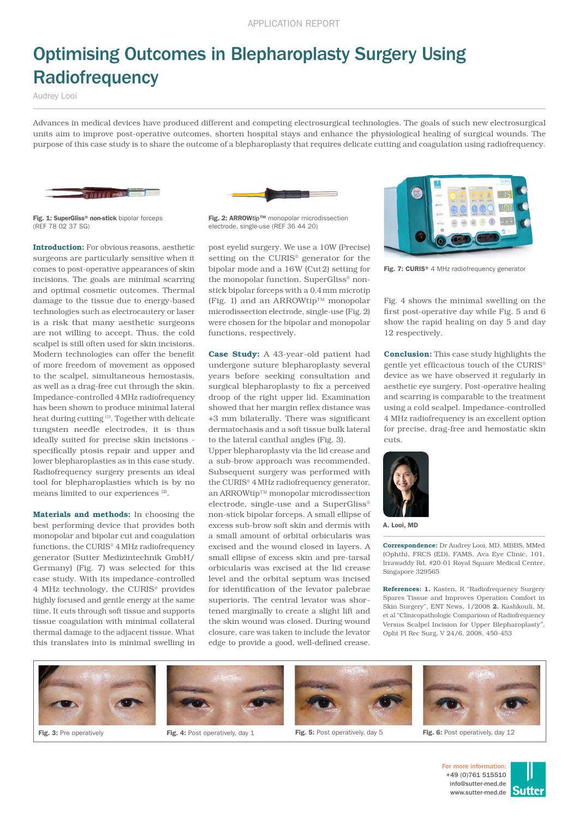## Optimising Outcomes in Blepharoplasty Surgery Using **Radiofrequency**

Audrey Looi

Advances in medical devices have produced different and competing electrosurgical technologies. The goals of such new electrosurgical units aim to improve post-operative outcomes, shorten hospital stays and enhance the physiological healing of surgical wounds. The purpose of this case study is to share the outcome of a blepharoplasty that requires delicate cutting and coagulation using radiofrequency.





Fig. 1: SuperGliss® non-stick bipolar forceps (REF 78 02 37 SG)

Introduction: For obvious reasons, aesthetic surgeons are particularly sensitive when it comes to post-operative appearances of skin incisions. The goals are minimal scarring and optimal cosmetic outcomes. Thermal damage to the tissue due to energy-based technologies such as electrocautery or laser is a risk that many aesthetic surgeons are not willing to accept. Thus, the cold scalpel is still often used for skin incisions. Modern technologies can offer the benefit of more freedom of movement as opposed to the scalpel, simultaneous hemostasis, as well as a drag-free cut through the skin. Impedance-controlled 4MHz radiofrequency has been shown to produce minimal lateral heat during cutting (1). Together with delicate tungsten needle electrodes, it is thus ideally suited for precise skin incisions specifically ptosis repair and upper and lower blepharoplasties as in this case study. Radiofrequency surgery presents an ideal tool for blepharoplasties which is by no means limited to our experiences (2).

Materials and methods: In choosing the best performing device that provides both monopolar and bipolar cut and coagulation functions, the CURIS® 4MHz radiofrequency generator (Sutter Medizintechnik GmbH/ Germany) (Fig. 7) was selected for this case study. With its impedance-controlled 4 MHz technology, the CURIS® provides highly focused and gentle energy at the same time. It cuts through soft tissue and supports tissue coagulation with minimal collateral thermal damage to the adjacent tissue. What this translates into is minimal swelling in

Fig. 2: ARROW*tip*™ monopolar microdissection electrode, single-use (REF 36 44 20)

post eyelid surgery. We use a 10W (Precise) setting on the CURIS® generator for the bipolar mode and a 16W (Cut2) setting for the monopolar function. SuperGliss® nonstick bipolar forceps with a 0.4mm microtip (Fig. 1) and an ARROWtip™ monopolar microdissection electrode, single-use (Fig. 2) were chosen for the bipolar and monopolar functions, respectively.

Case Study: A 43-year-old patient had undergone suture blepharoplasty several years before seeking consultation and surgical blepharoplasty to fix a perceived droop of the right upper lid. Examination showed that her margin reflex distance was +3 mm bilaterally. There was significant dermatochasis and a soft tissue bulk lateral to the lateral canthal angles (Fig. 3).

Upper blepharoplasty via the lid crease and a sub-brow approach was recommended. Subsequent surgery was performed with the CURIS® 4MHz radiofrequency generator, an ARROWtip™ monopolar microdissection electrode, single-use and a SuperGliss® non-stick bipolar forceps. A small ellipse of excess sub-brow soft skin and dermis with a small amount of orbital orbicularis was excised and the wound closed in layers. A small ellipse of excess skin and pre-tarsal orbicularis was excised at the lid crease level and the orbital septum was incised for identification of the levator palebrae superioris. The central levator was shortened marginally to create a slight lift and the skin wound was closed. During wound closure, care was taken to include the levator edge to provide a good, well-defined crease.



Fig. 7: CURIS® 4 MHz radiofrequency generator

Fig. 4 shows the minimal swelling on the first post-operative day while Fig. 5 and 6 show the rapid healing on day 5 and day 12 respectively.

Conclusion: This case study highlights the gentle yet efficacious touch of the CURIS® device as we have observed it regularly in aesthetic eye surgery. Post-operative healing and scarring is comparable to the treatment using a cold scalpel. Impedance-controlled 4 MHz radiofrequency is an excellent option for precise, drag-free and hemostatic skin cuts.



A. Looi, MD

Correspondence: Dr Audrey Looi, MD, MBBS, MMed (Ophth), FRCS (ED), FAMS, Ava Eye Clinic, 101, Irrawaddy Rd, #20-01 Royal Square Medical Centre, Singapore 329565

References: 1. Kasten, R "Radiofrequency Surgery Spares Tissue and Improves Operation Comfort in Skin Surgery", ENT News, 1/2008 2. Kashkouli, M. et al "Clinicopathologic Compariosn of Radiofrequency Versus Scalpel Incision for Upper Blepharoplasty", Opht Pl Rec Surg, V 24/6, 2008, 450-453







Fig. 3: Pre operatively **Fig. 4:** Post operatively, day 1 Fig. 5: Post operatively, day 5 Fig. 6: Post operatively, day 12